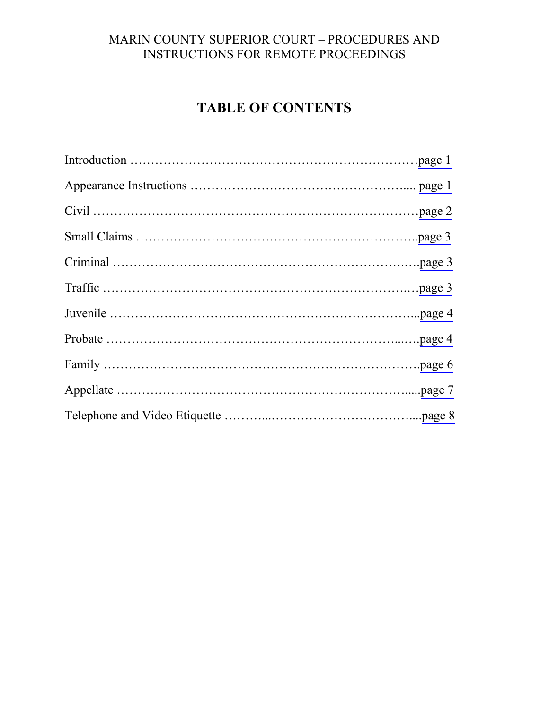# **TABLE OF CONTENTS**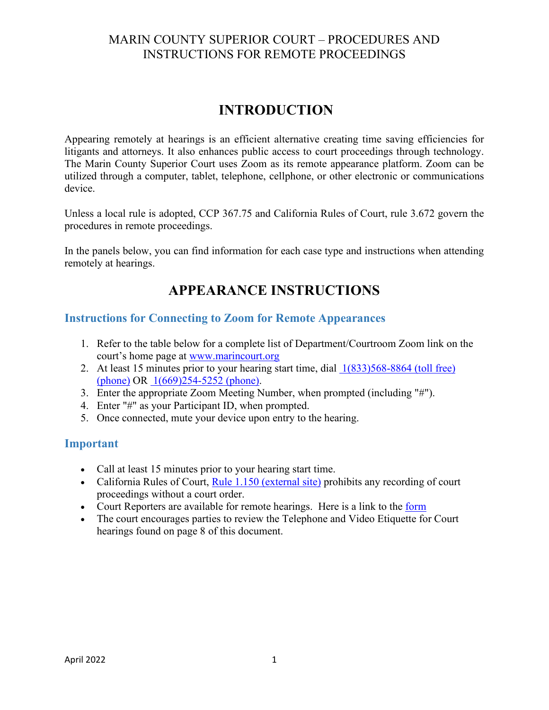# **INTRODUCTION**

<span id="page-1-0"></span>Appearing remotely at hearings is an efficient alternative creating time saving efficiencies for litigants and attorneys. It also enhances public access to court proceedings through technology. The Marin County Superior Court uses Zoom as its remote appearance platform. Zoom can be utilized through a computer, tablet, telephone, cellphone, or other electronic or communications device.

Unless a local rule is adopted, CCP 367.75 and California Rules of Court, rule 3.672 govern the procedures in remote proceedings.

In the panels below, you can find information for each case type and instructions when attending remotely at hearings.

# **APPEARANCE INSTRUCTIONS**

#### **Instructions for Connecting to Zoom for Remote Appearances**

- 1. Refer to the table below for a complete list of Department/Courtroom Zoom link on the court's home page at [www.marincourt.org](http://www.marincourt.org/)
- 2. At least 15 minutes prior to your hearing start time, dial [1\(833\)568-8864 \(toll free\)](tel:+1-833-568-8864)  [\(phone\)](tel:+1-833-568-8864) OR [1\(669\)254-5252 \(phone\).](tel:+1-669-254-5252)
- 3. Enter the appropriate Zoom Meeting Number, when prompted (including "#").
- 4. Enter "#" as your Participant ID, when prompted.
- 5. Once connected, mute your device upon entry to the hearing.

#### **Important**

- Call at least 15 minutes prior to your hearing start time.
- California Rules of Court, [Rule 1.150 \(external site\)](https://www.courts.ca.gov/cms/rules/index.cfm?title=one&linkid=rule1_150) prohibits any recording of court proceedings without a court order.
- Court Reporters are available for remote hearings. Here is a link to the [form](http://www.marincourt.org/data/localforms/REP004-REQUESTFORCOURTREPORTERSERVICESn1-22n.pdf)
- The court encourages parties to review the Telephone and Video Etiquette for Court hearings found on page 8 of this document.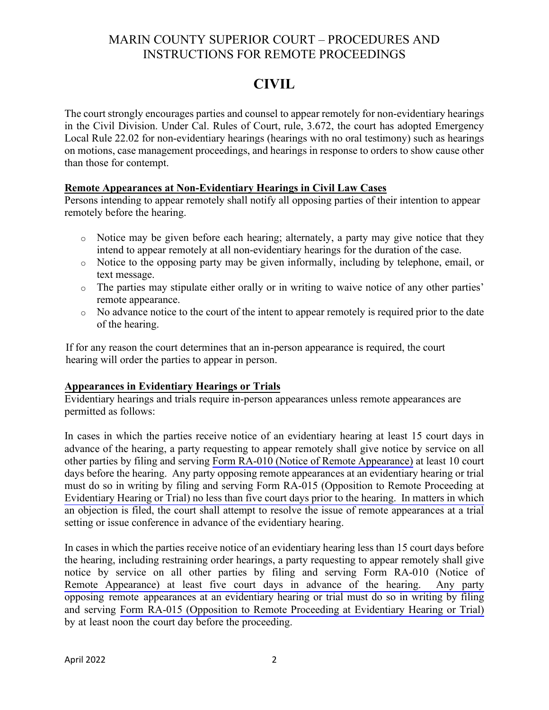# **CIVIL**

<span id="page-2-0"></span>The court strongly encourages parties and counsel to appear remotely for non-evidentiary hearings in the Civil Division. Under Cal. Rules of Court, rule, 3.672, the court has adopted Emergency Local Rule 22.02 for non-evidentiary hearings (hearings with no oral testimony) such as hearings on motions, case management proceedings, and hearings in response to orders to show cause other than those for contempt.

#### **Remote Appearances at Non-Evidentiary Hearings in Civil Law Cases**

Persons intending to appear remotely shall notify all opposing parties of their intention to appear remotely before the hearing.

- o Notice may be given before each hearing; alternately, a party may give notice that they intend to appear remotely at all non-evidentiary hearings for the duration of the case.
- o Notice to the opposing party may be given informally, including by telephone, email, or text message.
- o The parties may stipulate either orally or in writing to waive notice of any other parties' remote appearance.
- o No advance notice to the court of the intent to appear remotely is required prior to the date of the hearing.

If for any reason the court determines that an in-person appearance is required, the court hearing will order the parties to appear in person.

#### **Appearances in Evidentiary Hearings or Trials**

Evidentiary hearings and trials require in-person appearances unless remote appearances are permitted as follows:

In cases in which the parties receive notice of an evidentiary hearing at least 15 court days in advance of the hearing, a party requesting to appear remotely shall give notice by service on all other parties by filing and serving [Form RA-010 \(Notice of Remote Appearance\)](https://www.courts.ca.gov/documents/ra010.pdf) at least 10 court days before the hearing. Any party opposing remote appearances at an evidentiary hearing or trial [must do so in writing by filing and serving Form RA-015 \(Opposition to Remote Proceeding at](https://www.courts.ca.gov/documents/ra015.pdf)  Evidentiary Hearing or Trial) no less than five court days prior to the hearing. In matters in which an objection is filed, the court shall attempt to resolve the issue of remote appearances at a trial setting or issue conference in advance of the evidentiary hearing.

In cases in which the parties receive notice of an evidentiary hearing less than 15 court days before the hearing, including restraining order hearings, a party requesting to appear remotely shall give [notice by service on all other parties by filing and serving Form RA-010 \(Notice of](https://www.courts.ca.gov/documents/ra010.pdf) Remote Appearance) at least five court days in advance of the hearing. Any party opposing remote appearances at an evidentiary hearing or trial must do so in writing by filing and serving [Form RA-015 \(Opposition to Remote Proceeding at Evidentiary Hearing or Trial\)](https://www.courts.ca.gov/documents/ra015.pdf) by at least noon the court day before the proceeding.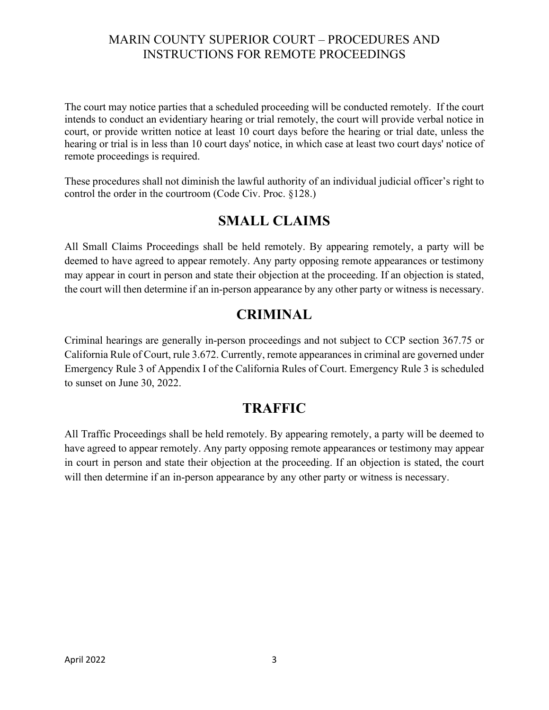<span id="page-3-0"></span>The court may notice parties that a scheduled proceeding will be conducted remotely. If the court intends to conduct an evidentiary hearing or trial remotely, the court will provide verbal notice in court, or provide written notice at least 10 court days before the hearing or trial date, unless the hearing or trial is in less than 10 court days' notice, in which case at least two court days' notice of remote proceedings is required.

These procedures shall not diminish the lawful authority of an individual judicial officer's right to control the order in the courtroom (Code Civ. Proc. §128.)

## **SMALL CLAIMS**

All Small Claims Proceedings shall be held remotely. By appearing remotely, a party will be deemed to have agreed to appear remotely. Any party opposing remote appearances or testimony may appear in court in person and state their objection at the proceeding. If an objection is stated, the court will then determine if an in-person appearance by any other party or witness is necessary.

## **CRIMINAL**

Criminal hearings are generally in-person proceedings and not subject to CCP section 367.75 or California Rule of Court, rule 3.672. Currently, remote appearances in criminal are governed under Emergency Rule 3 of Appendix I of the California Rules of Court. Emergency Rule 3 is scheduled to sunset on June 30, 2022.

## **TRAFFIC**

All Traffic Proceedings shall be held remotely. By appearing remotely, a party will be deemed to have agreed to appear remotely. Any party opposing remote appearances or testimony may appear in court in person and state their objection at the proceeding. If an objection is stated, the court will then determine if an in-person appearance by any other party or witness is necessary.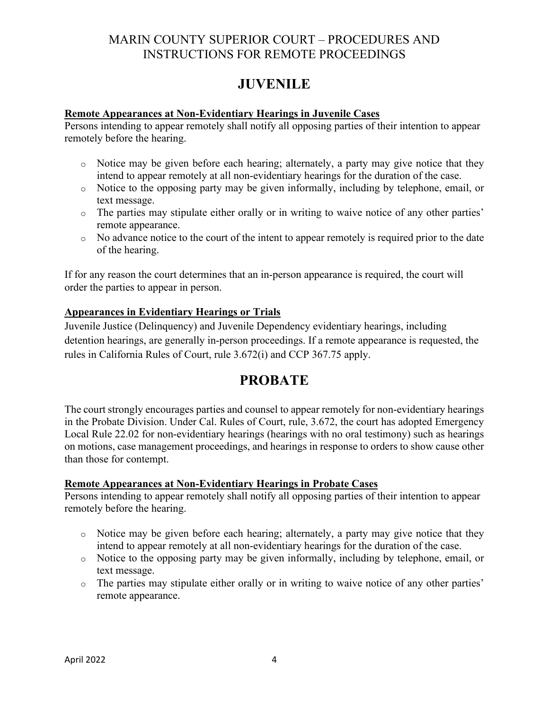# **JUVENILE**

#### <span id="page-4-0"></span>**Remote Appearances at Non-Evidentiary Hearings in Juvenile Cases**

Persons intending to appear remotely shall notify all opposing parties of their intention to appear remotely before the hearing.

- o Notice may be given before each hearing; alternately, a party may give notice that they intend to appear remotely at all non-evidentiary hearings for the duration of the case.
- o Notice to the opposing party may be given informally, including by telephone, email, or text message.
- o The parties may stipulate either orally or in writing to waive notice of any other parties' remote appearance.
- $\circ$  No advance notice to the court of the intent to appear remotely is required prior to the date of the hearing.

If for any reason the court determines that an in-person appearance is required, the court will order the parties to appear in person.

#### **Appearances in Evidentiary Hearings or Trials**

Juvenile Justice (Delinquency) and Juvenile Dependency evidentiary hearings, including detention hearings, are generally in-person proceedings. If a remote appearance is requested, the rules in California Rules of Court, rule 3.672(i) and CCP 367.75 apply.

## **PROBATE**

The court strongly encourages parties and counsel to appear remotely for non-evidentiary hearings in the Probate Division. Under Cal. Rules of Court, rule, 3.672, the court has adopted Emergency Local Rule 22.02 for non-evidentiary hearings (hearings with no oral testimony) such as hearings on motions, case management proceedings, and hearings in response to orders to show cause other than those for contempt.

#### **Remote Appearances at Non-Evidentiary Hearings in Probate Cases**

Persons intending to appear remotely shall notify all opposing parties of their intention to appear remotely before the hearing.

- o Notice may be given before each hearing; alternately, a party may give notice that they intend to appear remotely at all non-evidentiary hearings for the duration of the case.
- o Notice to the opposing party may be given informally, including by telephone, email, or text message.
- o The parties may stipulate either orally or in writing to waive notice of any other parties' remote appearance.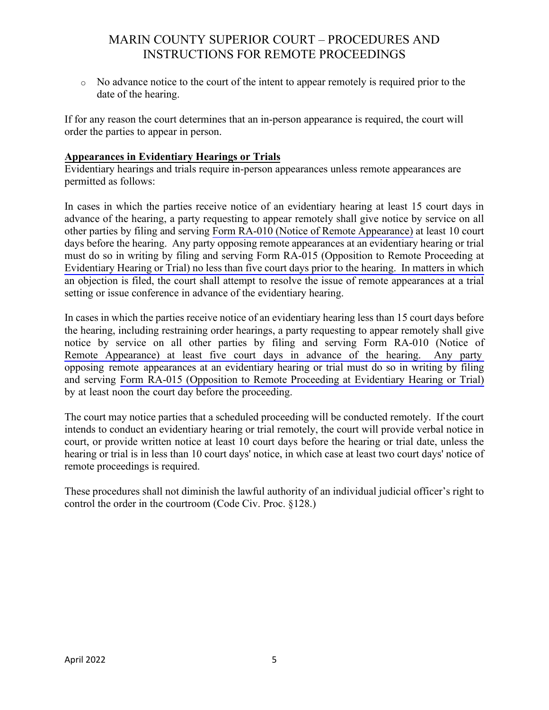o No advance notice to the court of the intent to appear remotely is required prior to the date of the hearing.

If for any reason the court determines that an in-person appearance is required, the court will order the parties to appear in person.

#### **Appearances in Evidentiary Hearings or Trials**

Evidentiary hearings and trials require in-person appearances unless remote appearances are permitted as follows:

In cases in which the parties receive notice of an evidentiary hearing at least 15 court days in advance of the hearing, a party requesting to appear remotely shall give notice by service on all other parties by filing and serving [Form RA-010 \(Notice of Remote Appearance\)](https://www.courts.ca.gov/documents/ra010.pdf) at least 10 court days before the hearing. Any party opposing remote appearances at an evidentiary hearing or trial must do so in writing by filing and serving Form RA-015 (Opposition to Remote Proceeding at [Evidentiary Hearing or Trial\) no less than five court days prior to the hearing. In matters in which](https://www.courts.ca.gov/documents/ra015.pdf)  an objection is filed, the court shall attempt to resolve the issue of remote appearances at a trial setting or issue conference in advance of the evidentiary hearing.

In cases in which the parties receive notice of an evidentiary hearing less than 15 court days before the hearing, including restraining order hearings, a party requesting to appear remotely shall give [notice by service on all other parties by filing and serving Form RA-010 \(Notice of](https://www.courts.ca.gov/documents/ra010.pdf) Remote Appearance) at least five court days in advance of the hearing. Any party opposing remote appearances at an evidentiary hearing or trial must do so in writing by filing and serving [Form RA-015 \(Opposition to Remote Proceeding at Evidentiary Hearing or Trial\)](https://www.courts.ca.gov/documents/ra015.pdf) by at least noon the court day before the proceeding.

The court may notice parties that a scheduled proceeding will be conducted remotely. If the court intends to conduct an evidentiary hearing or trial remotely, the court will provide verbal notice in court, or provide written notice at least 10 court days before the hearing or trial date, unless the hearing or trial is in less than 10 court days' notice, in which case at least two court days' notice of remote proceedings is required.

These procedures shall not diminish the lawful authority of an individual judicial officer's right to control the order in the courtroom (Code Civ. Proc. §128.)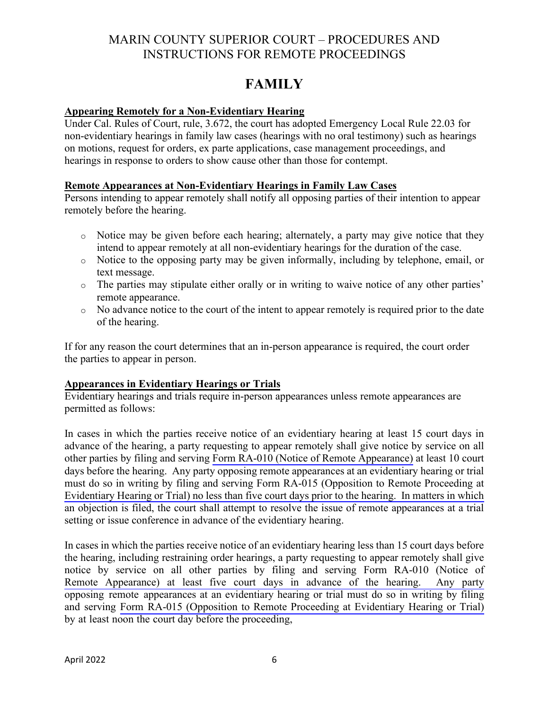# **FAMILY**

#### <span id="page-6-0"></span>**Appearing Remotely for a Non-Evidentiary Hearing**

Under Cal. Rules of Court, rule, 3.672, the court has adopted Emergency Local Rule 22.03 for non-evidentiary hearings in family law cases (hearings with no oral testimony) such as hearings on motions, request for orders, ex parte applications, case management proceedings, and hearings in response to orders to show cause other than those for contempt.

#### **Remote Appearances at Non-Evidentiary Hearings in Family Law Cases**

Persons intending to appear remotely shall notify all opposing parties of their intention to appear remotely before the hearing.

- o Notice may be given before each hearing; alternately, a party may give notice that they intend to appear remotely at all non-evidentiary hearings for the duration of the case.
- o Notice to the opposing party may be given informally, including by telephone, email, or text message.
- o The parties may stipulate either orally or in writing to waive notice of any other parties' remote appearance.
- $\circ$  No advance notice to the court of the intent to appear remotely is required prior to the date of the hearing.

If for any reason the court determines that an in-person appearance is required, the court order the parties to appear in person.

#### **Appearances in Evidentiary Hearings or Trials**

Evidentiary hearings and trials require in-person appearances unless remote appearances are permitted as follows:

In cases in which the parties receive notice of an evidentiary hearing at least 15 court days in advance of the hearing, a party requesting to appear remotely shall give notice by service on all other parties by filing and serving [Form RA-010 \(Notice of Remote Appearance\)](https://www.courts.ca.gov/documents/ra010.pdf) at least 10 court days before the hearing. Any party opposing remote appearances at an evidentiary hearing or trial [must do so in writing by filing and serving Form RA-015 \(Opposition to Remote Proceeding at](https://www.courts.ca.gov/documents/ra015.pdf)  Evidentiary Hearing or Trial) no less than five court days prior to the hearing. In matters in which an objection is filed, the court shall attempt to resolve the issue of remote appearances at a trial setting or issue conference in advance of the evidentiary hearing.

In cases in which the parties receive notice of an evidentiary hearing less than 15 court days before the hearing, including restraining order hearings, a party requesting to appear remotely shall give [notice by service on all other parties by filing and serving Form RA-010 \(Notice of](https://www.courts.ca.gov/documents/ra010.pdf) Remote Appearance) at least five court days in advance of the hearing. Any party opposing remote appearances at an evidentiary hearing or trial must do so in writing by filing and serving [Form RA-015 \(Opposition to Remote Proceeding at Evidentiary Hearing or Trial\)](https://www.courts.ca.gov/documents/ra015.pdf) by at least noon the court day before the proceeding,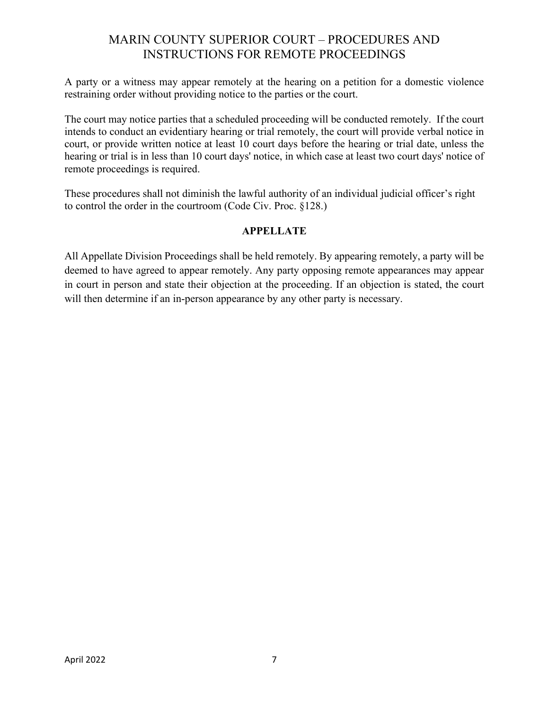<span id="page-7-0"></span>A party or a witness may appear remotely at the hearing on a petition for a domestic violence restraining order without providing notice to the parties or the court.

The court may notice parties that a scheduled proceeding will be conducted remotely. If the court intends to conduct an evidentiary hearing or trial remotely, the court will provide verbal notice in court, or provide written notice at least 10 court days before the hearing or trial date, unless the hearing or trial is in less than 10 court days' notice, in which case at least two court days' notice of remote proceedings is required.

These procedures shall not diminish the lawful authority of an individual judicial officer's right to control the order in the courtroom (Code Civ. Proc. §128.)

#### **APPELLATE**

All Appellate Division Proceedings shall be held remotely. By appearing remotely, a party will be deemed to have agreed to appear remotely. Any party opposing remote appearances may appear in court in person and state their objection at the proceeding. If an objection is stated, the court will then determine if an in-person appearance by any other party is necessary.